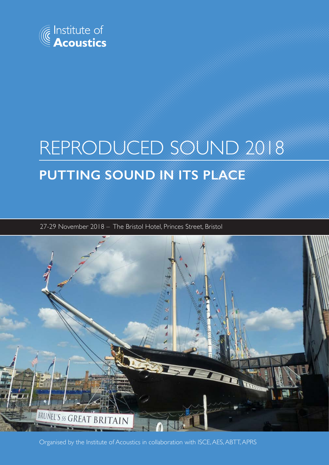

# REPRODUCED SOUND 2018 **PUTTING SOUND IN ITS PLACE**

27-29 November 2018 – The Bristol Hotel, Princes Street, Bristol



Organised by the Institute of Acoustics in collaboration with ISCE, AES, ABTT, APRS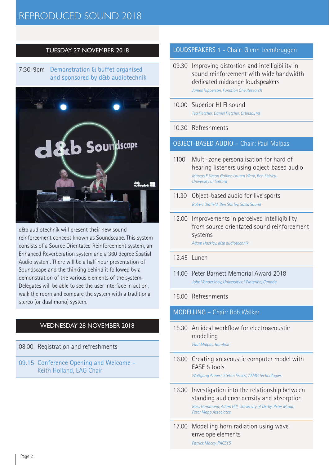# REPRODUCED SOUND 2018

# TUESDAY 27 NOVEMBER 2018

# 7:30-9pm Demonstration & buffet organised and sponsored by d&b audiotechnik



d&b audiotechnik will present their new sound reinforcement concept known as Soundscape. This system consists of a Source Orientated Reinforcement system, an Enhanced Reverberation system and a 360 degree Spatial Audio system. There will be a half hour presentation of Soundscape and the thinking behind it followed by a demonstration of the various elements of the system. Delegates will be able to see the user interface in action, walk the room and compare the system with a traditional stereo (or dual mono) system.

# WEDNESDAY 28 NOVEMBER 2018

08.00 Registration and refreshments

09.15 Conference Opening and Welcome – Keith Holland, EAG Chair

#### LOUDSPEAKERS 1 - Chair: Glenn Leembruggen

- 09.30 Improving distortion and intelligibility in sound reinforcement with wide bandwidth dedicated midrange loudspeakers *James Hipperson, Funktion One Research*
- 10.00 Superior HI FI sound *Ted Fletcher, Daniel Fletcher, Orbitsound*

#### 10.30 Refreshments

#### OBJECT-BASED AUDIO – Chair: Paul Malpas

- 1100 Multi-zone personalisation for hard of hearing listeners using object-based audio *Marcos F Simon Galvez, Lauren Ward, Ben Shirley, University of Salford*
- 11.30 Object-based audio for live sports *Robert Oldfield, Ben Shirley, Salsa Sound*
- 12.00 Improvements in perceived intelligibility from source orientated sound reinforcement systems

*Adam Hockley, d&b audiotechnik* 

#### 12.45 Lunch

14.00 Peter Barnett Memorial Award 2018 *John Vanderkooy, University of Waterloo, Canada*

#### 15.00 Refreshments

# MODELLING – Chair: Bob Walker

- 15.30 An ideal workflow for electroacoustic modelling *Paul Malpas, Ramboll*
- 16.00 Creating an acoustic computer model with EASE 5 tools

*Wolfgang Ahnert, Stefan Feistel, AFMG Technologies* 

- 16.30 Investigation into the relationship between standing audience density and absorption *Ross Hammond, Adam Hill, University of Derby, Peter Mapp, Peter Mapp Associates*
- 17.00 Modelling horn radiation using wave envelope elements *Patrick Macey, PACSYS*